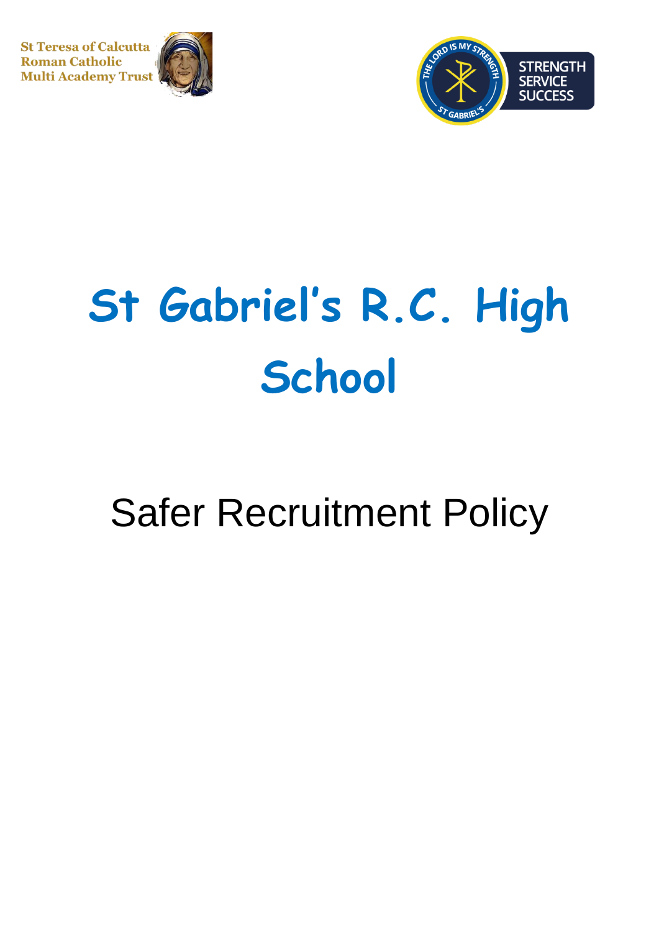**St Teresa of Calcutta Roman Catholic Multi Academy Trust** 





# **St Gabriel's R.C. High School**

# Safer Recruitment Policy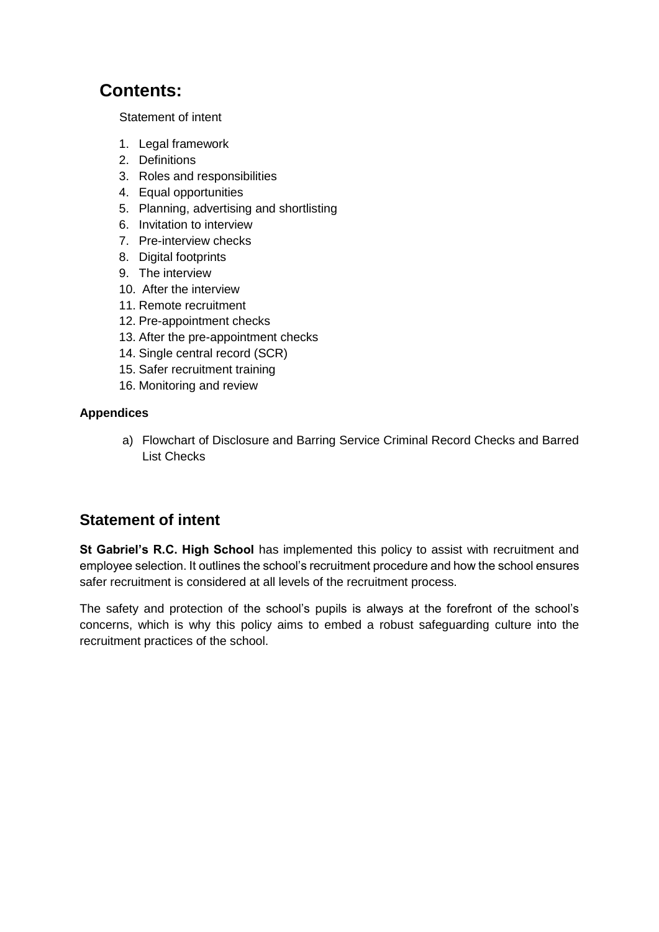# **Contents:**

[Statement of intent](#page-1-0)

- 1. [Legal framework](#page-2-0)
- 2. [Definitions](#page-2-1)
- 3. [Roles and responsibilities](#page-4-0)
- 4. [Equal opportunities](#page-5-0)
- 5. [Planning, advertising and shortlisting](#page-6-0)
- 6. [Invitation to interview](#page-7-0)
- 7. [Pre-interview checks](#page-9-0)
- 8. [Digital footprints](#page-9-1)
- 9. [The interview](#page-9-2)
- 10. [After the interview](#page-10-0)
- 11. [Remote recruitment](#page-10-1)
- 12. [Pre-appointment checks](#page-12-0)
- 13. [After the pre-appointment checks](#page-16-0)
- 14. [Single central record \(SCR\)](#page-16-1)
- 15. [Safer recruitment training](#page-17-0)
- 16. [Monitoring and review](#page-17-1)

#### **Appendices**

a) [Flowchart of Disclosure and Barring Service Criminal Record Checks and Barred](#page-19-0)  [List Checks](#page-19-0)

# <span id="page-1-0"></span>**Statement of intent**

**St Gabriel's R.C. High School** has implemented this policy to assist with recruitment and employee selection. It outlines the school's recruitment procedure and how the school ensures safer recruitment is considered at all levels of the recruitment process.

The safety and protection of the school's pupils is always at the forefront of the school's concerns, which is why this policy aims to embed a robust safeguarding culture into the recruitment practices of the school.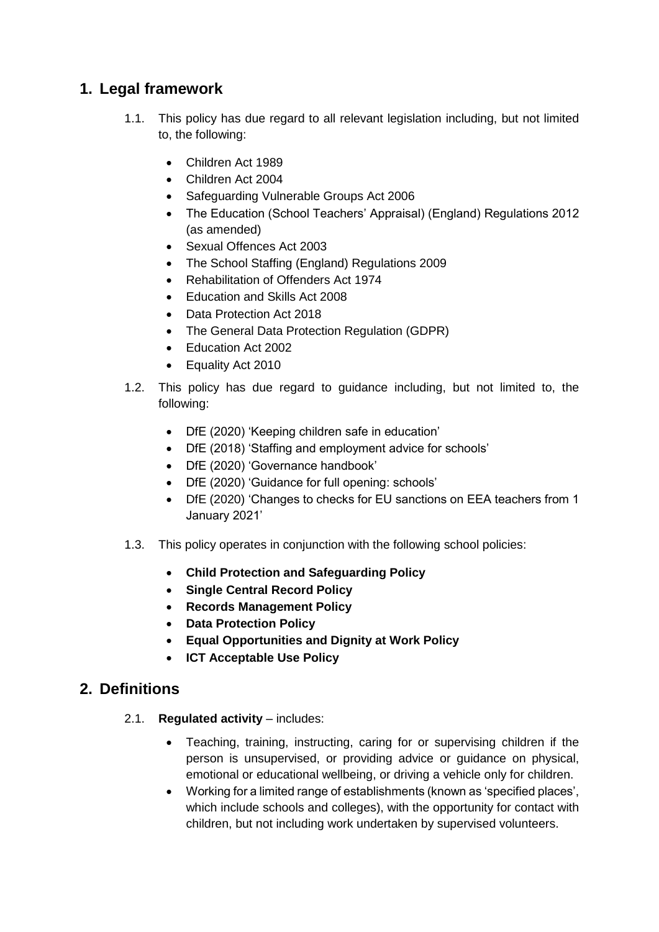# <span id="page-2-0"></span>**1. Legal framework**

- 1.1. This policy has due regard to all relevant legislation including, but not limited to, the following:
	- Children Act 1989
	- Children Act 2004
	- Safeguarding Vulnerable Groups Act 2006
	- The Education (School Teachers' Appraisal) (England) Regulations 2012 (as amended)
	- Sexual Offences Act 2003
	- The School Staffing (England) Regulations 2009
	- Rehabilitation of Offenders Act 1974
	- Education and Skills Act 2008
	- Data Protection Act 2018
	- The General Data Protection Regulation (GDPR)
	- Education Act 2002
	- Equality Act 2010
- 1.2. This policy has due regard to guidance including, but not limited to, the following:
	- DfE (2020) 'Keeping children safe in education'
	- DfE (2018) 'Staffing and employment advice for schools'
	- DfE (2020) 'Governance handbook'
	- DfE (2020) 'Guidance for full opening: schools'
	- DfE (2020) 'Changes to checks for EU sanctions on EEA teachers from 1 January 2021'
- 1.3. This policy operates in conjunction with the following school policies:
	- **Child Protection and Safeguarding Policy**
	- **Single Central Record Policy**
	- **Records Management Policy**
	- **Data Protection Policy**
	- **Equal Opportunities and Dignity at Work Policy**
	- **ICT Acceptable Use Policy**

# <span id="page-2-1"></span>**2. Definitions**

- 2.1. **Regulated activity**  includes:
	- Teaching, training, instructing, caring for or supervising children if the person is unsupervised, or providing advice or guidance on physical, emotional or educational wellbeing, or driving a vehicle only for children.
	- Working for a limited range of establishments (known as 'specified places', which include schools and colleges), with the opportunity for contact with children, but not including work undertaken by supervised volunteers.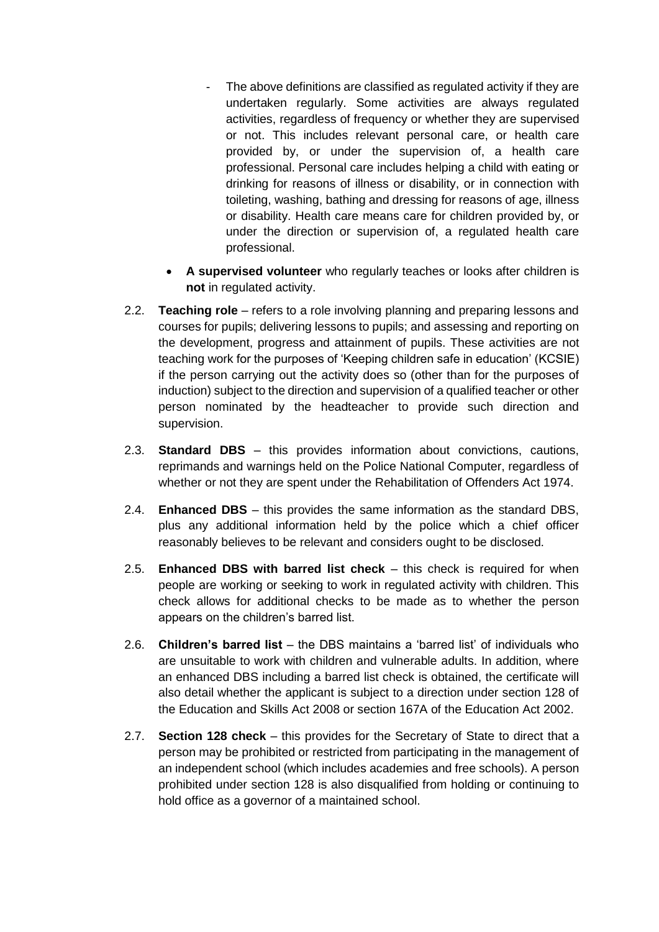- The above definitions are classified as regulated activity if they are undertaken regularly. Some activities are always regulated activities, regardless of frequency or whether they are supervised or not. This includes relevant personal care, or health care provided by, or under the supervision of, a health care professional. Personal care includes helping a child with eating or drinking for reasons of illness or disability, or in connection with toileting, washing, bathing and dressing for reasons of age, illness or disability. Health care means care for children provided by, or under the direction or supervision of, a regulated health care professional.
- **A supervised volunteer** who regularly teaches or looks after children is **not** in regulated activity.
- 2.2. **Teaching role**  refers to a role involving planning and preparing lessons and courses for pupils; delivering lessons to pupils; and assessing and reporting on the development, progress and attainment of pupils. These activities are not teaching work for the purposes of 'Keeping children safe in education' (KCSIE) if the person carrying out the activity does so (other than for the purposes of induction) subject to the direction and supervision of a qualified teacher or other person nominated by the headteacher to provide such direction and supervision.
- 2.3. **Standard DBS**  this provides information about convictions, cautions, reprimands and warnings held on the Police National Computer, regardless of whether or not they are spent under the Rehabilitation of Offenders Act 1974.
- 2.4. **Enhanced DBS**  this provides the same information as the standard DBS, plus any additional information held by the police which a chief officer reasonably believes to be relevant and considers ought to be disclosed.
- 2.5. **Enhanced DBS with barred list check**  this check is required for when people are working or seeking to work in regulated activity with children. This check allows for additional checks to be made as to whether the person appears on the children's barred list.
- 2.6. **Children's barred list**  the DBS maintains a 'barred list' of individuals who are unsuitable to work with children and vulnerable adults. In addition, where an enhanced DBS including a barred list check is obtained, the certificate will also detail whether the applicant is subject to a direction under section 128 of the Education and Skills Act 2008 or section 167A of the Education Act 2002.
- 2.7. **Section 128 check**  this provides for the Secretary of State to direct that a person may be prohibited or restricted from participating in the management of an independent school (which includes academies and free schools). A person prohibited under section 128 is also disqualified from holding or continuing to hold office as a governor of a maintained school.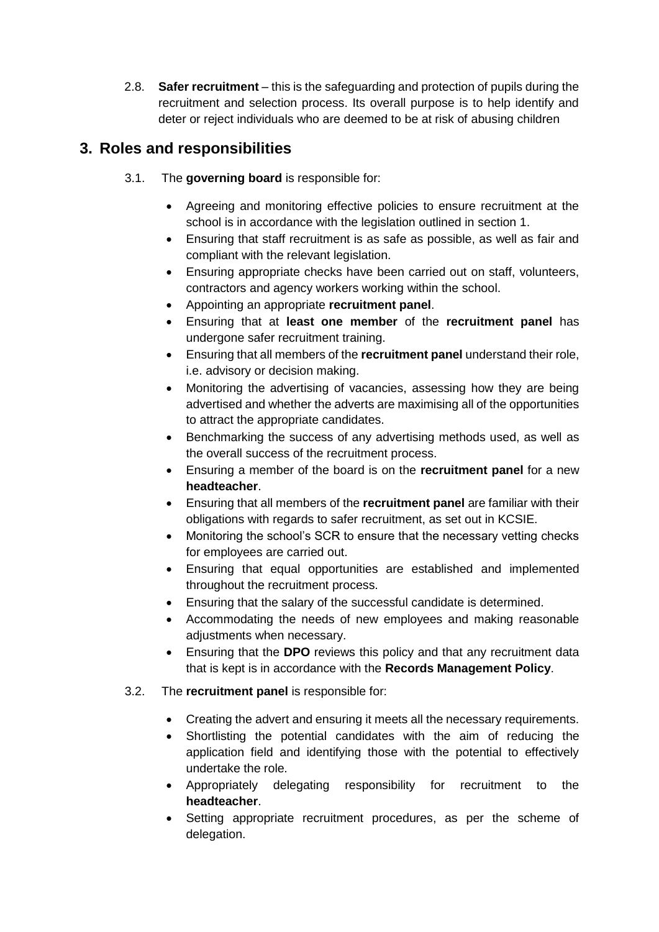2.8. **Safer recruitment** – this is the safeguarding and protection of pupils during the recruitment and selection process. Its overall purpose is to help identify and deter or reject individuals who are deemed to be at risk of abusing children

# <span id="page-4-0"></span>**3. Roles and responsibilities**

- 3.1. The **governing board** is responsible for:
	- Agreeing and monitoring effective policies to ensure recruitment at the school is in accordance with the legislation outlined in [section 1.](#page-2-0)
	- Ensuring that staff recruitment is as safe as possible, as well as fair and compliant with the relevant legislation.
	- Ensuring appropriate checks have been carried out on staff, volunteers, contractors and agency workers working within the school.
	- Appointing an appropriate **recruitment panel**.
	- Ensuring that at **least one member** of the **recruitment panel** has undergone safer recruitment training.
	- Ensuring that all members of the **recruitment panel** understand their role, i.e. advisory or decision making.
	- Monitoring the advertising of vacancies, assessing how they are being advertised and whether the adverts are maximising all of the opportunities to attract the appropriate candidates.
	- Benchmarking the success of any advertising methods used, as well as the overall success of the recruitment process.
	- Ensuring a member of the board is on the **recruitment panel** for a new **headteacher**.
	- Ensuring that all members of the **recruitment panel** are familiar with their obligations with regards to safer recruitment, as set out in KCSIE.
	- Monitoring the school's SCR to ensure that the necessary vetting checks for employees are carried out.
	- Ensuring that equal opportunities are established and implemented throughout the recruitment process.
	- Ensuring that the salary of the successful candidate is determined.
	- Accommodating the needs of new employees and making reasonable adjustments when necessary.
	- Ensuring that the **DPO** reviews this policy and that any recruitment data that is kept is in accordance with the **Records Management Policy**.
- 3.2. The **recruitment panel** is responsible for:
	- Creating the advert and ensuring it meets all the necessary requirements.
	- Shortlisting the potential candidates with the aim of reducing the application field and identifying those with the potential to effectively undertake the role.
	- Appropriately delegating responsibility for recruitment to the **headteacher**.
	- Setting appropriate recruitment procedures, as per the scheme of delegation.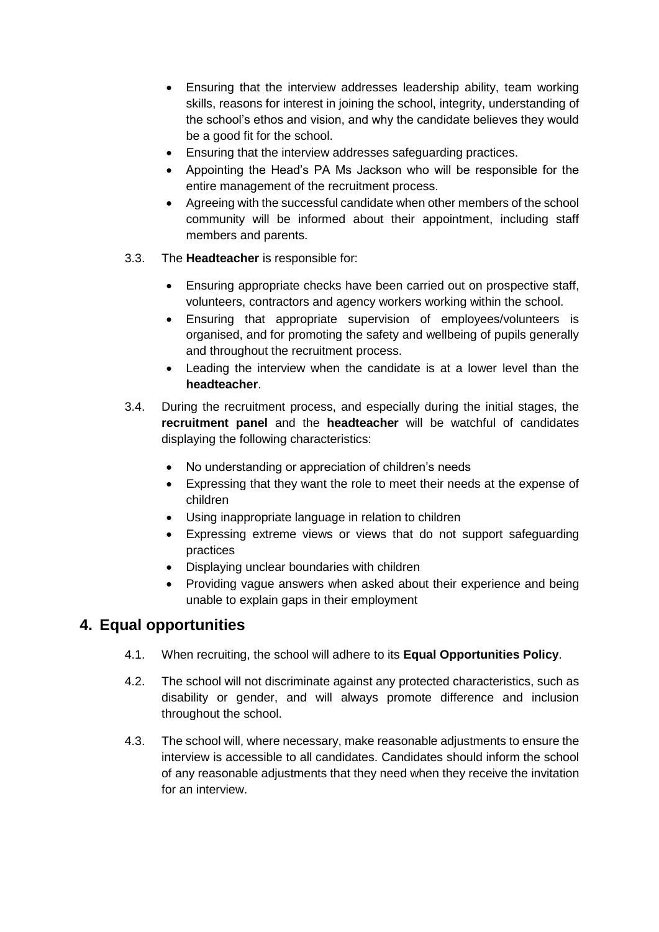- Ensuring that the interview addresses leadership ability, team working skills, reasons for interest in joining the school, integrity, understanding of the school's ethos and vision, and why the candidate believes they would be a good fit for the school.
- Ensuring that the interview addresses safeguarding practices.
- Appointing the Head's PA Ms Jackson who will be responsible for the entire management of the recruitment process.
- Agreeing with the successful candidate when other members of the school community will be informed about their appointment, including staff members and parents.
- 3.3. The **Headteacher** is responsible for:
	- Ensuring appropriate checks have been carried out on prospective staff, volunteers, contractors and agency workers working within the school.
	- Ensuring that appropriate supervision of employees/volunteers is organised, and for promoting the safety and wellbeing of pupils generally and throughout the recruitment process.
	- Leading the interview when the candidate is at a lower level than the **headteacher**.
- 3.4. During the recruitment process, and especially during the initial stages, the **recruitment panel** and the **headteacher** will be watchful of candidates displaying the following characteristics:
	- No understanding or appreciation of children's needs
	- Expressing that they want the role to meet their needs at the expense of children
	- Using inappropriate language in relation to children
	- Expressing extreme views or views that do not support safeguarding practices
	- Displaying unclear boundaries with children
	- Providing vague answers when asked about their experience and being unable to explain gaps in their employment

# <span id="page-5-0"></span>**4. Equal opportunities**

- 4.1. When recruiting, the school will adhere to its **Equal Opportunities Policy**.
- 4.2. The school will not discriminate against any protected characteristics, such as disability or gender, and will always promote difference and inclusion throughout the school.
- 4.3. The school will, where necessary, make reasonable adjustments to ensure the interview is accessible to all candidates. Candidates should inform the school of any reasonable adjustments that they need when they receive the invitation for an interview.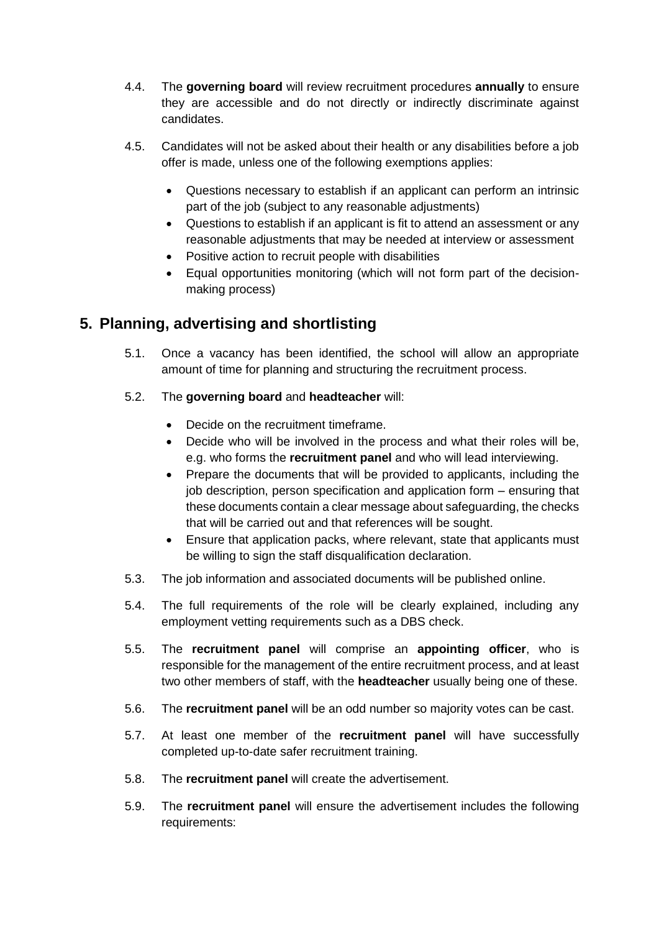- 4.4. The **governing board** will review recruitment procedures **annually** to ensure they are accessible and do not directly or indirectly discriminate against candidates.
- 4.5. Candidates will not be asked about their health or any disabilities before a job offer is made, unless one of the following exemptions applies:
	- Questions necessary to establish if an applicant can perform an intrinsic part of the job (subject to any reasonable adjustments)
	- Questions to establish if an applicant is fit to attend an assessment or any reasonable adjustments that may be needed at interview or assessment
	- Positive action to recruit people with disabilities
	- Equal opportunities monitoring (which will not form part of the decisionmaking process)

# <span id="page-6-0"></span>**5. Planning, advertising and shortlisting**

- 5.1. Once a vacancy has been identified, the school will allow an appropriate amount of time for planning and structuring the recruitment process.
- 5.2. The **governing board** and **headteacher** will:
	- Decide on the recruitment timeframe.
	- Decide who will be involved in the process and what their roles will be, e.g. who forms the **recruitment panel** and who will lead interviewing.
	- Prepare the documents that will be provided to applicants, including the job description, person specification and application form – ensuring that these documents contain a clear message about safeguarding, the checks that will be carried out and that references will be sought.
	- Ensure that application packs, where relevant, state that applicants must be willing to sign the staff disqualification declaration.
- 5.3. The job information and associated documents will be published online.
- 5.4. The full requirements of the role will be clearly explained, including any employment vetting requirements such as a DBS check.
- 5.5. The **recruitment panel** will comprise an **appointing officer**, who is responsible for the management of the entire recruitment process, and at least two other members of staff, with the **headteacher** usually being one of these.
- 5.6. The **recruitment panel** will be an odd number so majority votes can be cast.
- 5.7. At least one member of the **recruitment panel** will have successfully completed up-to-date safer recruitment training.
- 5.8. The **recruitment panel** will create the advertisement.
- 5.9. The **recruitment panel** will ensure the advertisement includes the following requirements: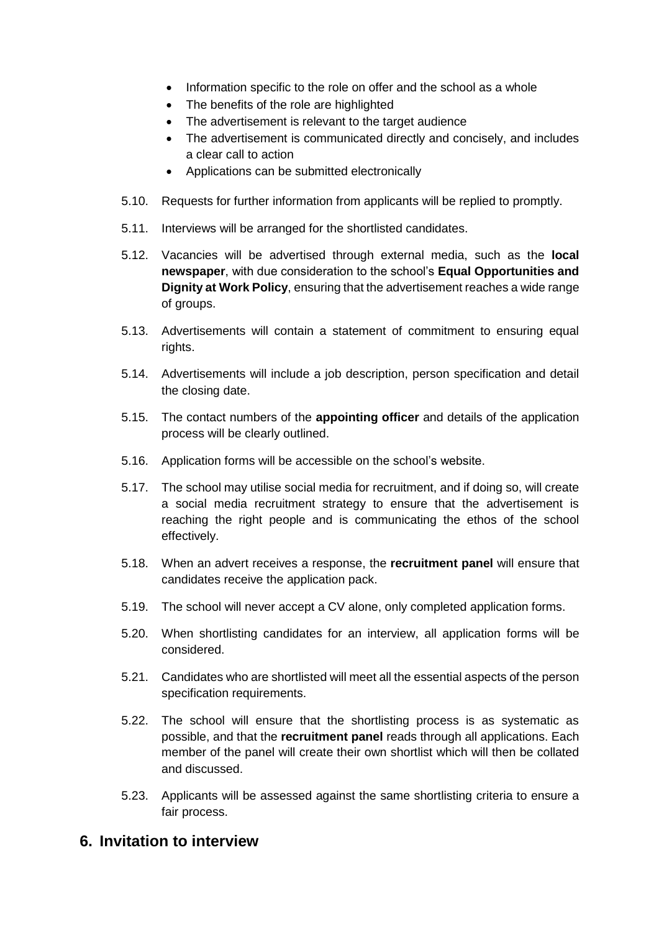- Information specific to the role on offer and the school as a whole
- The benefits of the role are highlighted
- The advertisement is relevant to the target audience
- The advertisement is communicated directly and concisely, and includes a clear call to action
- Applications can be submitted electronically
- 5.10. Requests for further information from applicants will be replied to promptly.
- 5.11. Interviews will be arranged for the shortlisted candidates.
- 5.12. Vacancies will be advertised through external media, such as the **local newspaper**, with due consideration to the school's **Equal Opportunities and Dignity at Work Policy**, ensuring that the advertisement reaches a wide range of groups.
- 5.13. Advertisements will contain a statement of commitment to ensuring equal rights.
- 5.14. Advertisements will include a job description, person specification and detail the closing date.
- 5.15. The contact numbers of the **appointing officer** and details of the application process will be clearly outlined.
- 5.16. Application forms will be accessible on the school's website.
- 5.17. The school may utilise social media for recruitment, and if doing so, will create a social media recruitment strategy to ensure that the advertisement is reaching the right people and is communicating the ethos of the school effectively.
- 5.18. When an advert receives a response, the **recruitment panel** will ensure that candidates receive the application pack.
- 5.19. The school will never accept a CV alone, only completed application forms.
- 5.20. When shortlisting candidates for an interview, all application forms will be considered.
- 5.21. Candidates who are shortlisted will meet all the essential aspects of the person specification requirements.
- 5.22. The school will ensure that the shortlisting process is as systematic as possible, and that the **recruitment panel** reads through all applications. Each member of the panel will create their own shortlist which will then be collated and discussed.
- 5.23. Applicants will be assessed against the same shortlisting criteria to ensure a fair process.

#### <span id="page-7-0"></span>**6. Invitation to interview**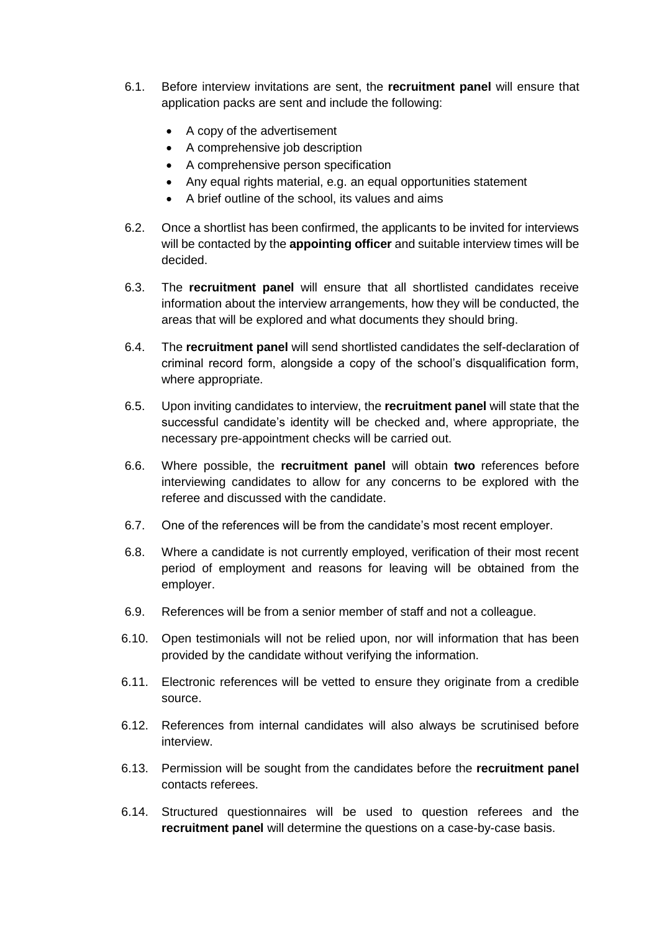- 6.1. Before interview invitations are sent, the **recruitment panel** will ensure that application packs are sent and include the following:
	- A copy of the advertisement
	- A comprehensive job description
	- A comprehensive person specification
	- Any equal rights material, e.g. an equal opportunities statement
	- A brief outline of the school, its values and aims
- 6.2. Once a shortlist has been confirmed, the applicants to be invited for interviews will be contacted by the **appointing officer** and suitable interview times will be decided.
- 6.3. The **recruitment panel** will ensure that all shortlisted candidates receive information about the interview arrangements, how they will be conducted, the areas that will be explored and what documents they should bring.
- 6.4. The **recruitment panel** will send shortlisted candidates the self-declaration of criminal record form, alongside a copy of the school's disqualification form, where appropriate.
- 6.5. Upon inviting candidates to interview, the **recruitment panel** will state that the successful candidate's identity will be checked and, where appropriate, the necessary pre-appointment checks will be carried out.
- 6.6. Where possible, the **recruitment panel** will obtain **two** references before interviewing candidates to allow for any concerns to be explored with the referee and discussed with the candidate.
- 6.7. One of the references will be from the candidate's most recent employer.
- 6.8. Where a candidate is not currently employed, verification of their most recent period of employment and reasons for leaving will be obtained from the employer.
- 6.9. References will be from a senior member of staff and not a colleague.
- 6.10. Open testimonials will not be relied upon, nor will information that has been provided by the candidate without verifying the information.
- 6.11. Electronic references will be vetted to ensure they originate from a credible source.
- 6.12. References from internal candidates will also always be scrutinised before interview.
- 6.13. Permission will be sought from the candidates before the **recruitment panel** contacts referees.
- 6.14. Structured questionnaires will be used to question referees and the **recruitment panel** will determine the questions on a case-by-case basis.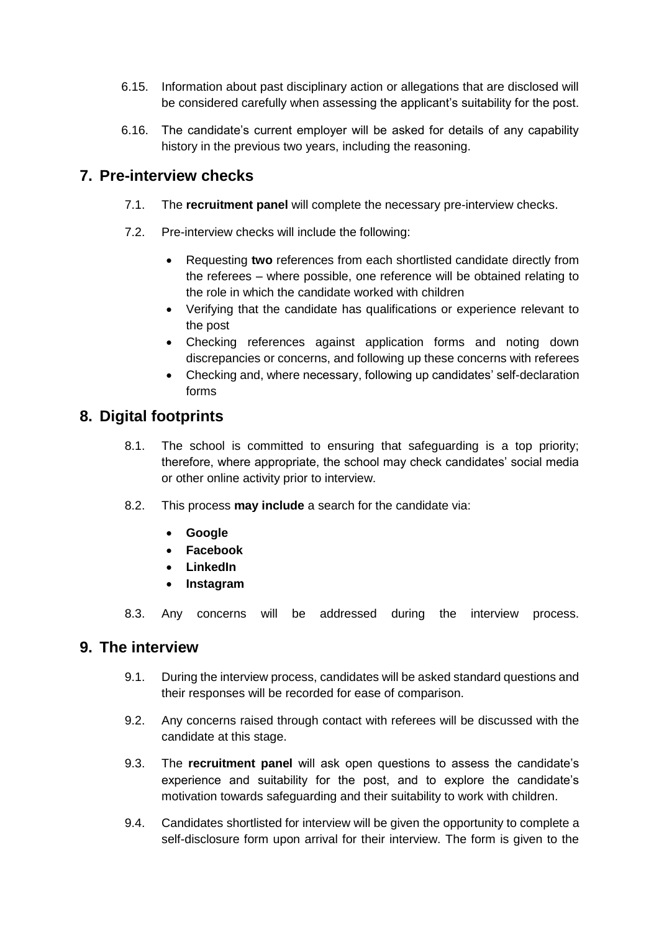- 6.15. Information about past disciplinary action or allegations that are disclosed will be considered carefully when assessing the applicant's suitability for the post.
- 6.16. The candidate's current employer will be asked for details of any capability history in the previous two years, including the reasoning.

## <span id="page-9-0"></span>**7. Pre-interview checks**

- 7.1. The **recruitment panel** will complete the necessary pre-interview checks.
- 7.2. Pre-interview checks will include the following:
	- Requesting **two** references from each shortlisted candidate directly from the referees – where possible, one reference will be obtained relating to the role in which the candidate worked with children
	- Verifying that the candidate has qualifications or experience relevant to the post
	- Checking references against application forms and noting down discrepancies or concerns, and following up these concerns with referees
	- Checking and, where necessary, following up candidates' self-declaration forms

# <span id="page-9-1"></span>**8. Digital footprints**

- 8.1. The school is committed to ensuring that safeguarding is a top priority; therefore, where appropriate, the school may check candidates' social media or other online activity prior to interview.
- 8.2. This process **may include** a search for the candidate via:
	- **Google**
	- **Facebook**
	- **LinkedIn**
	- **Instagram**
- 8.3. Any concerns will be addressed during the interview process.

#### <span id="page-9-2"></span>**9. The interview**

- 9.1. During the interview process, candidates will be asked standard questions and their responses will be recorded for ease of comparison.
- 9.2. Any concerns raised through contact with referees will be discussed with the candidate at this stage.
- 9.3. The **recruitment panel** will ask open questions to assess the candidate's experience and suitability for the post, and to explore the candidate's motivation towards safeguarding and their suitability to work with children.
- 9.4. Candidates shortlisted for interview will be given the opportunity to complete a self-disclosure form upon arrival for their interview. The form is given to the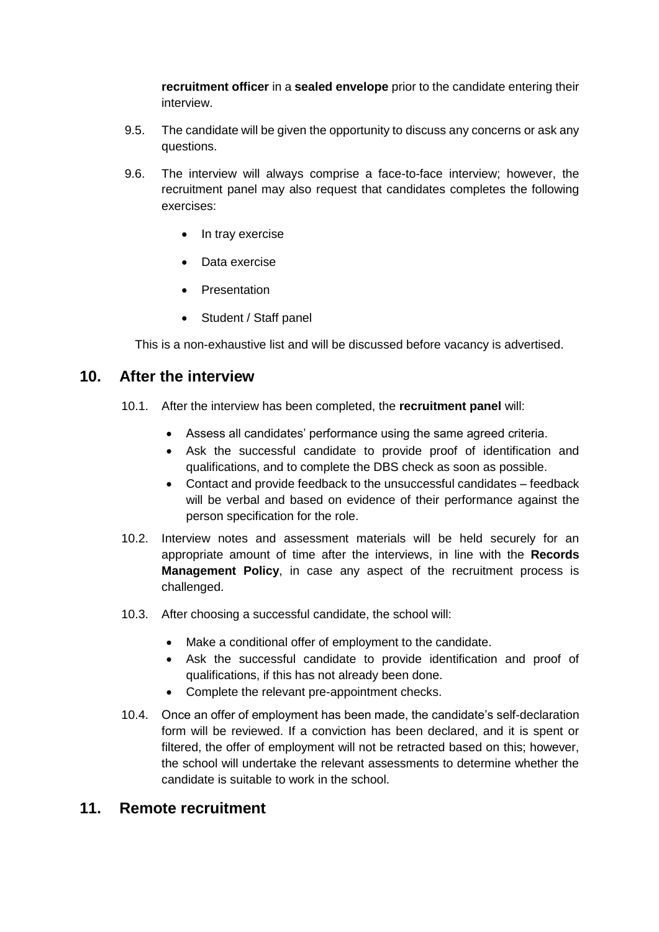**recruitment officer** in a **sealed envelope** prior to the candidate entering their interview.

- 9.5. The candidate will be given the opportunity to discuss any concerns or ask any questions.
- 9.6. The interview will always comprise a face-to-face interview; however, the recruitment panel may also request that candidates completes the following exercises:
	- In tray exercise
	- Data exercise
	- **Presentation**
	- Student / Staff panel

This is a non-exhaustive list and will be discussed before vacancy is advertised.

### <span id="page-10-0"></span>**10. After the interview**

- 10.1. After the interview has been completed, the **recruitment panel** will:
	- Assess all candidates' performance using the same agreed criteria.
	- Ask the successful candidate to provide proof of identification and qualifications, and to complete the DBS check as soon as possible.
	- Contact and provide feedback to the unsuccessful candidates feedback will be verbal and based on evidence of their performance against the person specification for the role.
- 10.2. Interview notes and assessment materials will be held securely for an appropriate amount of time after the interviews, in line with the **Records Management Policy**, in case any aspect of the recruitment process is challenged.
- 10.3. After choosing a successful candidate, the school will:
	- Make a conditional offer of employment to the candidate.
	- Ask the successful candidate to provide identification and proof of qualifications, if this has not already been done.
	- Complete the relevant pre-appointment checks.
- 10.4. Once an offer of employment has been made, the candidate's self-declaration form will be reviewed. If a conviction has been declared, and it is spent or filtered, the offer of employment will not be retracted based on this; however, the school will undertake the relevant assessments to determine whether the candidate is suitable to work in the school.

#### <span id="page-10-1"></span>**11. Remote recruitment**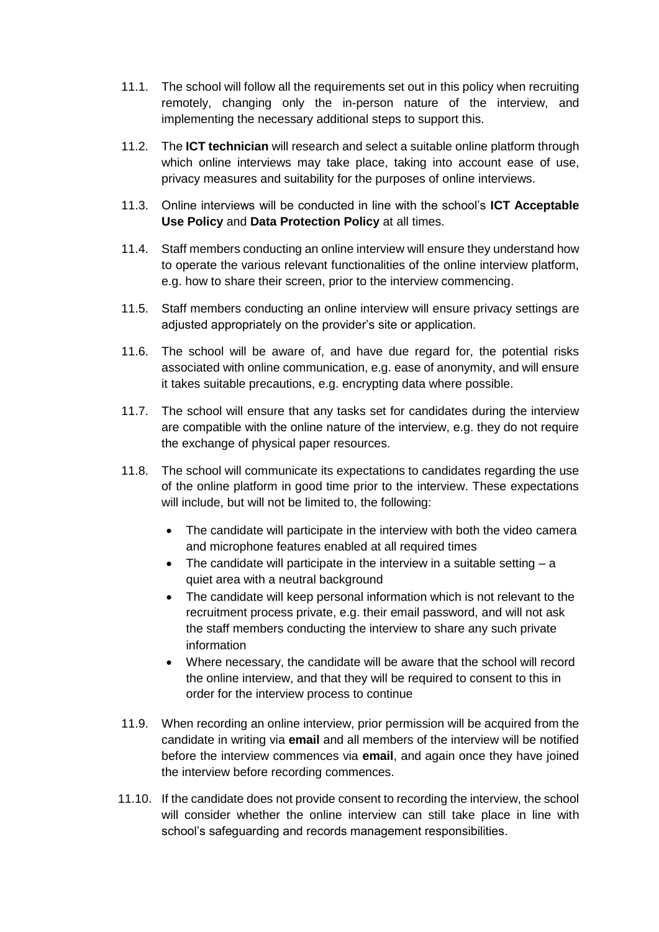- 11.1. The school will follow all the requirements set out in this policy when recruiting remotely, changing only the in-person nature of the interview, and implementing the necessary additional steps to support this.
- 11.2. The **ICT technician** will research and select a suitable online platform through which online interviews may take place, taking into account ease of use, privacy measures and suitability for the purposes of online interviews.
- 11.3. Online interviews will be conducted in line with the school's **ICT Acceptable Use Policy** and **Data Protection Policy** at all times.
- 11.4. Staff members conducting an online interview will ensure they understand how to operate the various relevant functionalities of the online interview platform, e.g. how to share their screen, prior to the interview commencing.
- 11.5. Staff members conducting an online interview will ensure privacy settings are adjusted appropriately on the provider's site or application.
- 11.6. The school will be aware of, and have due regard for, the potential risks associated with online communication, e.g. ease of anonymity, and will ensure it takes suitable precautions, e.g. encrypting data where possible.
- 11.7. The school will ensure that any tasks set for candidates during the interview are compatible with the online nature of the interview, e.g. they do not require the exchange of physical paper resources.
- 11.8. The school will communicate its expectations to candidates regarding the use of the online platform in good time prior to the interview. These expectations will include, but will not be limited to, the following:
	- The candidate will participate in the interview with both the video camera and microphone features enabled at all required times
	- The candidate will participate in the interview in a suitable setting  $a$ quiet area with a neutral background
	- The candidate will keep personal information which is not relevant to the recruitment process private, e.g. their email password, and will not ask the staff members conducting the interview to share any such private information
	- Where necessary, the candidate will be aware that the school will record the online interview, and that they will be required to consent to this in order for the interview process to continue
- 11.9. When recording an online interview, prior permission will be acquired from the candidate in writing via **email** and all members of the interview will be notified before the interview commences via **email**, and again once they have joined the interview before recording commences.
- 11.10. If the candidate does not provide consent to recording the interview, the school will consider whether the online interview can still take place in line with school's safeguarding and records management responsibilities.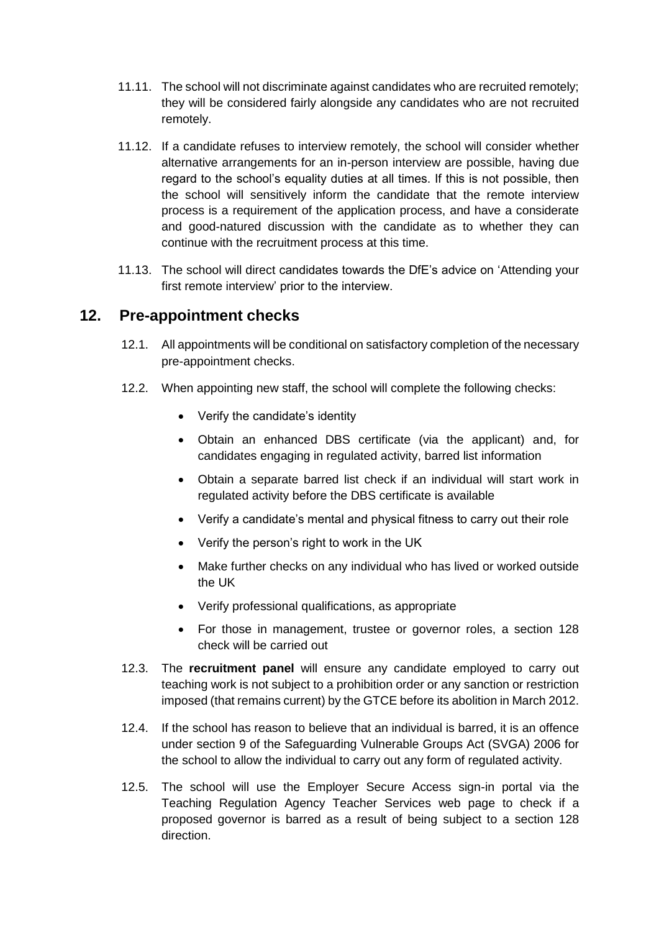- 11.11. The school will not discriminate against candidates who are recruited remotely; they will be considered fairly alongside any candidates who are not recruited remotely.
- 11.12. If a candidate refuses to interview remotely, the school will consider whether alternative arrangements for an in-person interview are possible, having due regard to the school's equality duties at all times. If this is not possible, then the school will sensitively inform the candidate that the remote interview process is a requirement of the application process, and have a considerate and good-natured discussion with the candidate as to whether they can continue with the recruitment process at this time.
- 11.13. The school will direct candidates towards the DfE's advice on ['Attending your](https://teaching.blog.gov.uk/2020/06/12/attending-your-first-remote-interview/)  [first remote interview'](https://teaching.blog.gov.uk/2020/06/12/attending-your-first-remote-interview/) prior to the interview.

# <span id="page-12-0"></span>**12. Pre-appointment checks**

- 12.1. All appointments will be conditional on satisfactory completion of the necessary pre-appointment checks.
- 12.2. When appointing new staff, the school will complete the following checks:
	- Verify the candidate's identity
	- Obtain an enhanced DBS certificate (via the applicant) and, for candidates engaging in regulated activity, barred list information
	- Obtain a separate barred list check if an individual will start work in regulated activity before the DBS certificate is available
	- Verify a candidate's mental and physical fitness to carry out their role
	- Verify the person's right to work in the UK
	- Make further checks on any individual who has lived or worked outside the UK
	- Verify professional qualifications, as appropriate
	- For those in management, trustee or governor roles, a section 128 check will be carried out
- 12.3. The **recruitment panel** will ensure any candidate employed to carry out teaching work is not subject to a prohibition order or any sanction or restriction imposed (that remains current) by the GTCE before its abolition in March 2012.
- 12.4. If the school has reason to believe that an individual is barred, it is an offence under section 9 of the Safeguarding Vulnerable Groups Act (SVGA) 2006 for the school to allow the individual to carry out any form of regulated activity.
- 12.5. The school will use the Employer Secure Access sign-in portal via the Teaching Regulation Agency Teacher Services web page to check if a proposed governor is barred as a result of being subject to a section 128 direction.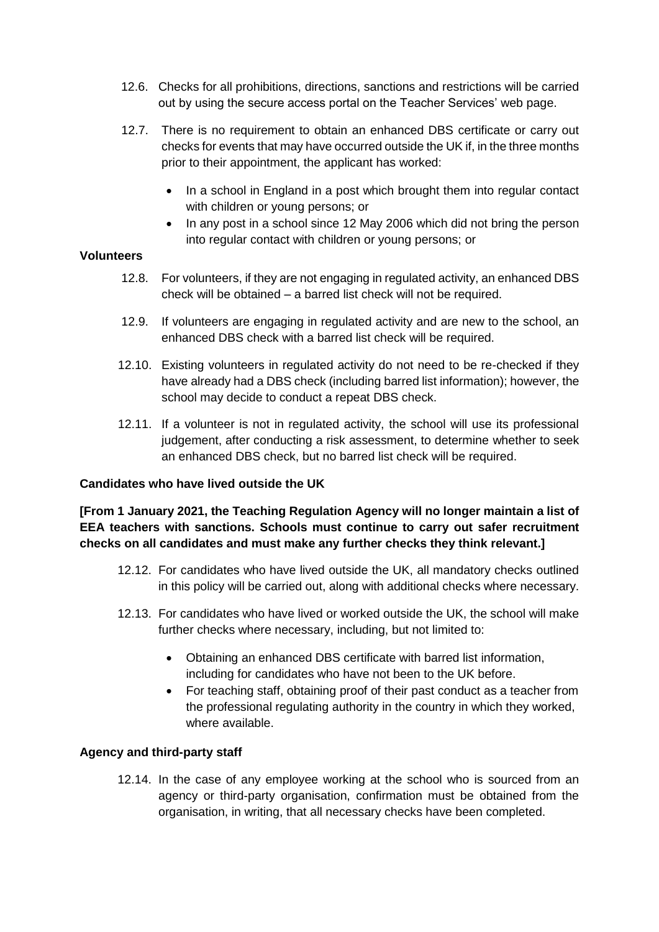- 12.6. Checks for all prohibitions, directions, sanctions and restrictions will be carried out by using the secure access portal on the Teacher Services' [web page.](https://teacherservices.education.gov.uk/)
- 12.7. There is no requirement to obtain an enhanced DBS certificate or carry out checks for events that may have occurred outside the UK if, in the three months prior to their appointment, the applicant has worked:
	- In a school in England in a post which brought them into regular contact with children or young persons; or
	- In any post in a school since 12 May 2006 which did not bring the person into regular contact with children or young persons; or

#### **Volunteers**

- 12.8. For volunteers, if they are not engaging in regulated activity, an enhanced DBS check will be obtained – a barred list check will not be required.
- 12.9. If volunteers are engaging in regulated activity and are new to the school, an enhanced DBS check with a barred list check will be required.
- 12.10. Existing volunteers in regulated activity do not need to be re-checked if they have already had a DBS check (including barred list information); however, the school may decide to conduct a repeat DBS check.
- 12.11. If a volunteer is not in regulated activity, the school will use its professional judgement, after conducting a risk assessment, to determine whether to seek an enhanced DBS check, but no barred list check will be required.

#### **Candidates who have lived outside the UK**

**[From 1 January 2021, the Teaching Regulation Agency will no longer maintain a list of EEA teachers with sanctions. Schools must continue to carry out safer recruitment checks on all candidates and must make any further checks they think relevant.]**

- 12.12. For candidates who have lived outside the UK, all mandatory checks outlined in this policy will be carried out, along with additional checks where necessary.
- 12.13. For candidates who have lived or worked outside the UK, the school will make further checks where necessary, including, but not limited to:
	- Obtaining an enhanced DBS certificate with barred list information, including for candidates who have not been to the UK before.
	- For teaching staff, obtaining proof of their past conduct as a teacher from the professional regulating authority in the country in which they worked, where available.

#### **Agency and third-party staff**

12.14. In the case of any employee working at the school who is sourced from an agency or third-party organisation, confirmation must be obtained from the organisation, in writing, that all necessary checks have been completed.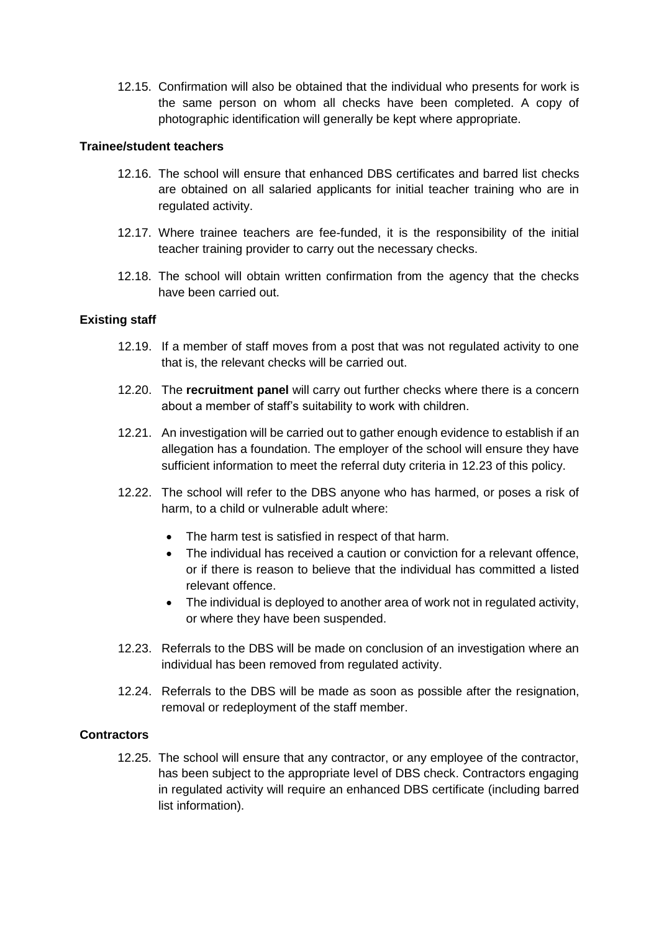12.15. Confirmation will also be obtained that the individual who presents for work is the same person on whom all checks have been completed. A copy of photographic identification will generally be kept where appropriate.

#### **Trainee/student teachers**

- 12.16. The school will ensure that enhanced DBS certificates and barred list checks are obtained on all salaried applicants for initial teacher training who are in regulated activity.
- 12.17. Where trainee teachers are fee-funded, it is the responsibility of the initial teacher training provider to carry out the necessary checks.
- 12.18. The school will obtain written confirmation from the agency that the checks have been carried out.

#### **Existing staff**

- 12.19. If a member of staff moves from a post that was not regulated activity to one that is, the relevant checks will be carried out.
- 12.20. The **recruitment panel** will carry out further checks where there is a concern about a member of staff's suitability to work with children.
- 12.21. An investigation will be carried out to gather enough evidence to establish if an allegation has a foundation. The employer of the school will ensure they have sufficient information to meet the referral duty criteria in 12.23 of this policy.
- 12.22. The school will refer to the DBS anyone who has harmed, or poses a risk of harm, to a child or vulnerable adult where:
	- The harm test is satisfied in respect of that harm.
	- The individual has received a caution or conviction for a relevant offence, or if there is reason to believe that the individual has committed a listed relevant offence.
	- The individual is deploved to another area of work not in regulated activity, or where they have been suspended.
- 12.23. Referrals to the DBS will be made on conclusion of an investigation where an individual has been removed from regulated activity.
- 12.24. Referrals to the DBS will be made as soon as possible after the resignation, removal or redeployment of the staff member.

#### **Contractors**

12.25. The school will ensure that any contractor, or any employee of the contractor, has been subject to the appropriate level of DBS check. Contractors engaging in regulated activity will require an enhanced DBS certificate (including barred list information).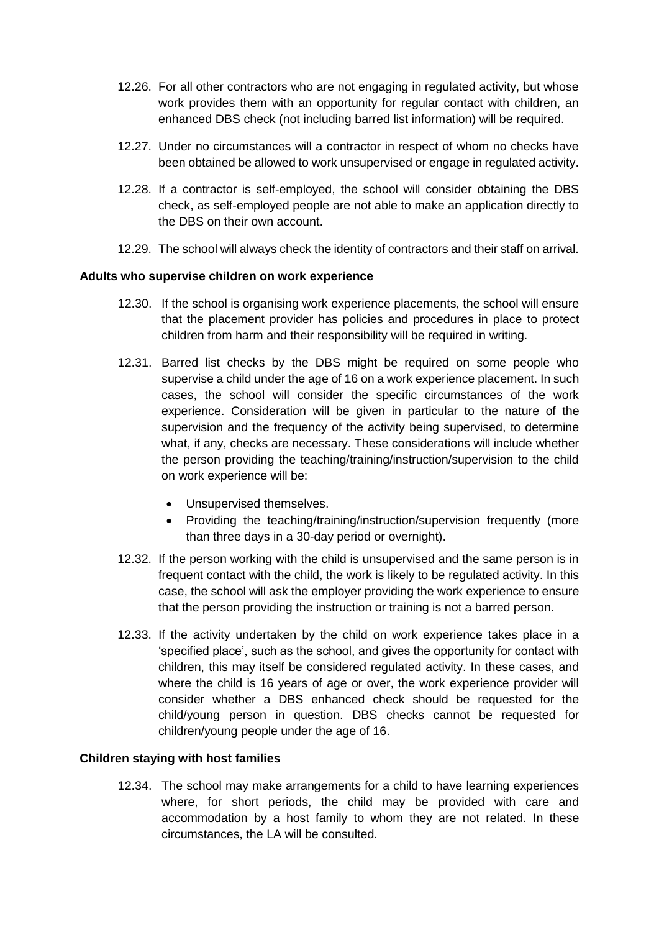- 12.26. For all other contractors who are not engaging in regulated activity, but whose work provides them with an opportunity for regular contact with children, an enhanced DBS check (not including barred list information) will be required.
- 12.27. Under no circumstances will a contractor in respect of whom no checks have been obtained be allowed to work unsupervised or engage in regulated activity.
- 12.28. If a contractor is self-employed, the school will consider obtaining the DBS check, as self-employed people are not able to make an application directly to the DBS on their own account.
- 12.29. The school will always check the identity of contractors and their staff on arrival.

#### **Adults who supervise children on work experience**

- 12.30. If the school is organising work experience placements, the school will ensure that the placement provider has policies and procedures in place to protect children from harm and their responsibility will be required in writing.
- 12.31. Barred list checks by the DBS might be required on some people who supervise a child under the age of 16 on a work experience placement. In such cases, the school will consider the specific circumstances of the work experience. Consideration will be given in particular to the nature of the supervision and the frequency of the activity being supervised, to determine what, if any, checks are necessary. These considerations will include whether the person providing the teaching/training/instruction/supervision to the child on work experience will be:
	- Unsupervised themselves.
	- Providing the teaching/training/instruction/supervision frequently (more than three days in a 30-day period or overnight).
- 12.32. If the person working with the child is unsupervised and the same person is in frequent contact with the child, the work is likely to be regulated activity. In this case, the school will ask the employer providing the work experience to ensure that the person providing the instruction or training is not a barred person.
- 12.33. If the activity undertaken by the child on work experience takes place in a 'specified place', such as the school, and gives the opportunity for contact with children, this may itself be considered regulated activity. In these cases, and where the child is 16 years of age or over, the work experience provider will consider whether a DBS enhanced check should be requested for the child/young person in question. DBS checks cannot be requested for children/young people under the age of 16.

#### **Children staying with host families**

12.34. The school may make arrangements for a child to have learning experiences where, for short periods, the child may be provided with care and accommodation by a host family to whom they are not related. In these circumstances, the LA will be consulted.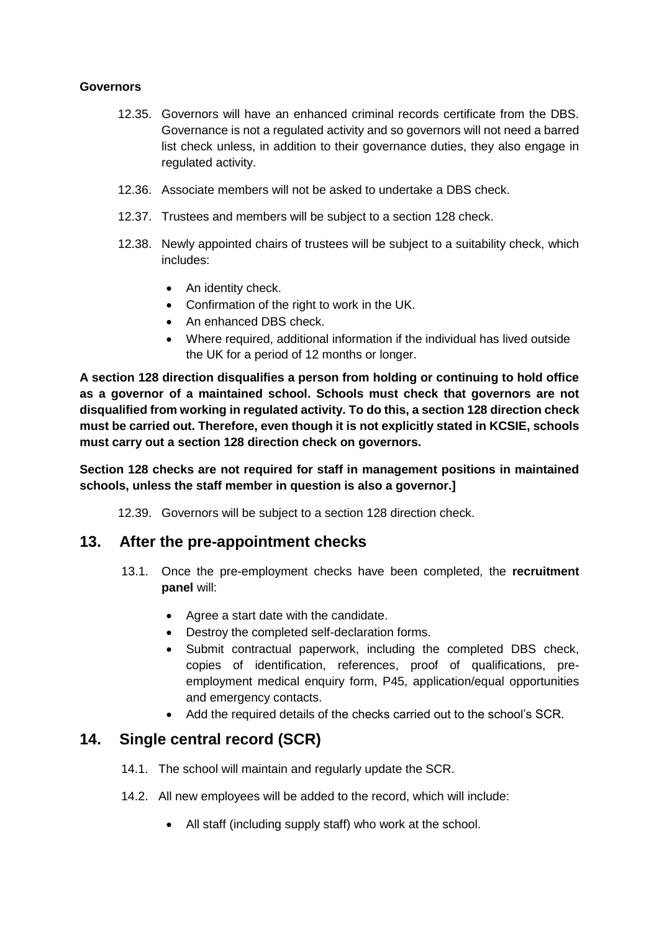#### **Governors**

- 12.35. Governors will have an enhanced criminal records certificate from the DBS. Governance is not a regulated activity and so governors will not need a barred list check unless, in addition to their governance duties, they also engage in regulated activity.
- 12.36. Associate members will not be asked to undertake a DBS check.
- 12.37. Trustees and members will be subject to a section 128 check.
- 12.38. Newly appointed chairs of trustees will be subject to a suitability check, which includes:
	- An identity check.
	- Confirmation of the right to work in the UK.
	- An enhanced DBS check.
	- Where required, additional information if the individual has lived outside the UK for a period of 12 months or longer.

**A section 128 direction disqualifies a person from holding or continuing to hold office as a governor of a maintained school. Schools must check that governors are not disqualified from working in regulated activity. To do this, a section 128 direction check must be carried out. Therefore, even though it is not explicitly stated in KCSIE, schools must carry out a section 128 direction check on governors.** 

**Section 128 checks are not required for staff in management positions in maintained schools, unless the staff member in question is also a governor.]**

12.39. Governors will be subject to a section 128 direction check.

#### <span id="page-16-0"></span>**13. After the pre-appointment checks**

- 13.1. Once the pre-employment checks have been completed, the **recruitment panel** will:
	- Agree a start date with the candidate.
	- Destroy the completed self-declaration forms.
	- Submit contractual paperwork, including the completed DBS check, copies of identification, references, proof of qualifications, preemployment medical enquiry form, P45, application/equal opportunities and emergency contacts.
	- Add the required details of the checks carried out to the school's SCR.

# <span id="page-16-1"></span>**14. Single central record (SCR)**

- 14.1. The school will maintain and regularly update the SCR.
- 14.2. All new employees will be added to the record, which will include:
	- All staff (including supply staff) who work at the school.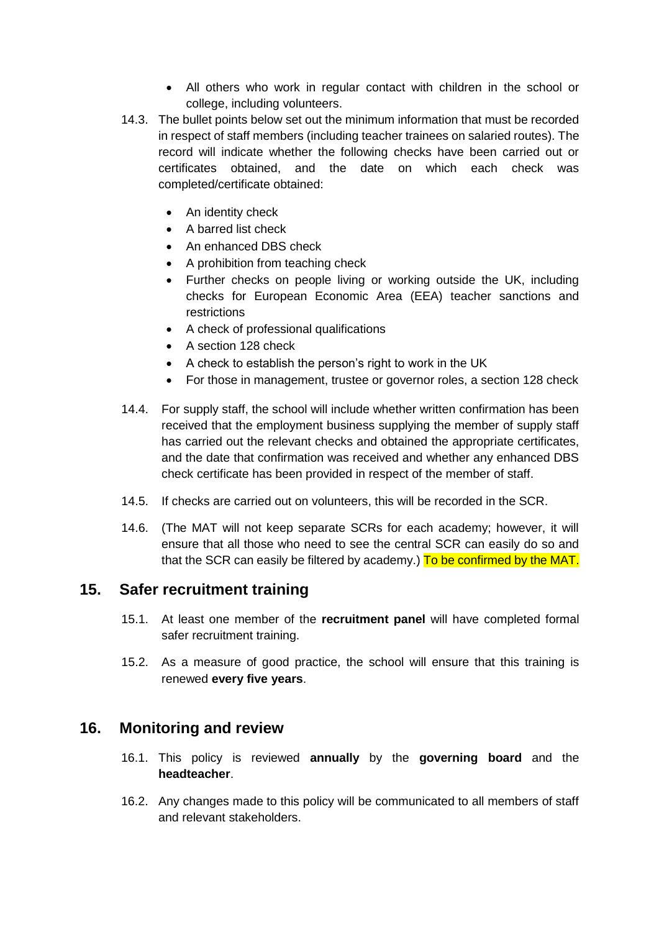- All others who work in regular contact with children in the school or college, including volunteers.
- 14.3. The bullet points below set out the minimum information that must be recorded in respect of staff members (including teacher trainees on salaried routes). The record will indicate whether the following checks have been carried out or certificates obtained, and the date on which each check was completed/certificate obtained:
	- An identity check
	- A barred list check
	- An enhanced DBS check
	- A prohibition from teaching check
	- Further checks on people living or working outside the UK, including checks for European Economic Area (EEA) teacher sanctions and restrictions
	- A check of professional qualifications
	- A section 128 check
	- A check to establish the person's right to work in the UK
	- For those in management, trustee or governor roles, a section 128 check
- 14.4. For supply staff, the school will include whether written confirmation has been received that the employment business supplying the member of supply staff has carried out the relevant checks and obtained the appropriate certificates, and the date that confirmation was received and whether any enhanced DBS check certificate has been provided in respect of the member of staff.
- 14.5. If checks are carried out on volunteers, this will be recorded in the SCR.
- 14.6. (The MAT will not keep separate SCRs for each academy; however, it will ensure that all those who need to see the central SCR can easily do so and that the SCR can easily be filtered by academy.) To be confirmed by the MAT.

# <span id="page-17-0"></span>**15. Safer recruitment training**

- 15.1. At least one member of the **recruitment panel** will have completed formal safer recruitment training.
- 15.2. As a measure of good practice, the school will ensure that this training is renewed **every five years**.

#### <span id="page-17-1"></span>**16. Monitoring and review**

- 16.1. This policy is reviewed **annually** by the **governing board** and the **headteacher**.
- 16.2. Any changes made to this policy will be communicated to all members of staff and relevant stakeholders.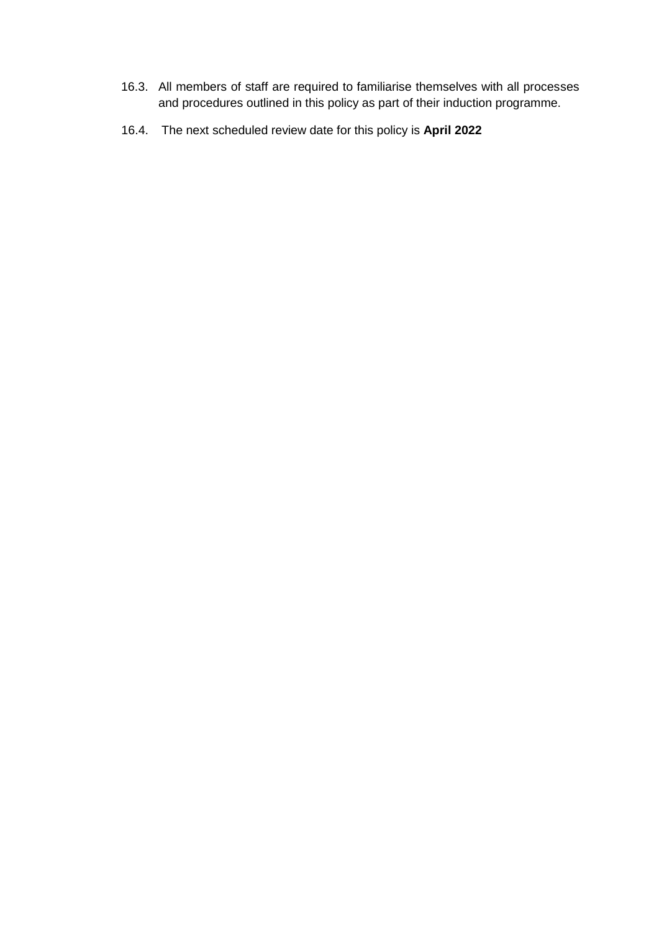- 16.3. All members of staff are required to familiarise themselves with all processes and procedures outlined in this policy as part of their induction programme.
- 16.4. The next scheduled review date for this policy is **April 2022**